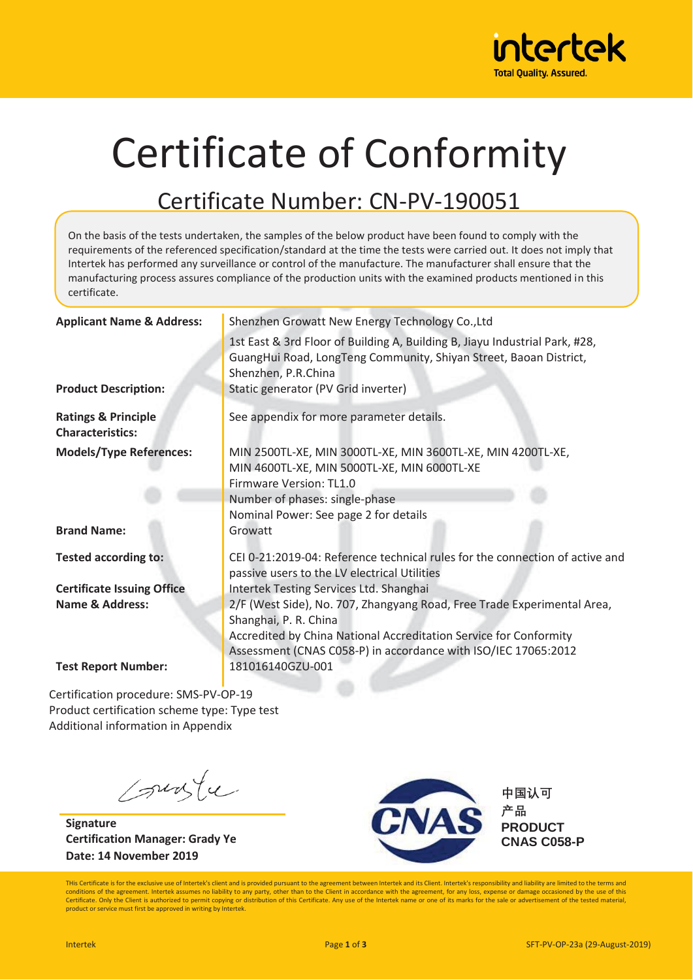

# Certificate of Conformity

#### Certificate Number: CN-PV-190051

On the basis of the tests undertaken, the samples of the below product have been found to comply with the requirements of the referenced specification/standard at the time the tests were carried out. It does not imply that Intertek has performed any surveillance or control of the manufacture. The manufacturer shall ensure that the manufacturing process assures compliance of the production units with the examined products mentioned in this certificate.

| <b>Applicant Name &amp; Address:</b>                      | Shenzhen Growatt New Energy Technology Co., Ltd                                                                                                                                                                                         |  |  |
|-----------------------------------------------------------|-----------------------------------------------------------------------------------------------------------------------------------------------------------------------------------------------------------------------------------------|--|--|
|                                                           | 1st East & 3rd Floor of Building A, Building B, Jiayu Industrial Park, #28,<br>GuangHui Road, LongTeng Community, Shiyan Street, Baoan District,<br>Shenzhen, P.R.China                                                                 |  |  |
| <b>Product Description:</b>                               | Static generator (PV Grid inverter)                                                                                                                                                                                                     |  |  |
| <b>Ratings &amp; Principle</b><br><b>Characteristics:</b> | See appendix for more parameter details.                                                                                                                                                                                                |  |  |
| <b>Models/Type References:</b><br><b>Brand Name:</b>      | MIN 2500TL-XE, MIN 3000TL-XE, MIN 3600TL-XE, MIN 4200TL-XE,<br>MIN 4600TL-XE, MIN 5000TL-XE, MIN 6000TL-XE<br>Firmware Version: TL1.0<br>Number of phases: single-phase<br>Nominal Power: See page 2 for details<br>Growatt             |  |  |
| <b>Tested according to:</b>                               | CEI 0-21:2019-04: Reference technical rules for the connection of active and<br>passive users to the LV electrical Utilities                                                                                                            |  |  |
| <b>Certificate Issuing Office</b>                         | Intertek Testing Services Ltd. Shanghai                                                                                                                                                                                                 |  |  |
| <b>Name &amp; Address:</b>                                | 2/F (West Side), No. 707, Zhangyang Road, Free Trade Experimental Area,<br>Shanghai, P. R. China<br>Accredited by China National Accreditation Service for Conformity<br>Assessment (CNAS C058-P) in accordance with ISO/IEC 17065:2012 |  |  |
| <b>Test Report Number:</b>                                | 181016140GZU-001                                                                                                                                                                                                                        |  |  |

Certification procedure: SMS-PV-OP-19 Product certification scheme type: Type test Additional information in Appendix

suste

**Signature Certification Manager: Grady Ye Date: 14 November 2019** 



**中国认可 ᶨ⏂ PRODUCT CNAS C058-P** 

THis Certificate is for the exclusive use of Intertek's client and is provided pursuant to the agreement between Intertek and its Client. Intertek's responsibility and liability are limited to the terms and conditions of the agreement. Intertek assumes no liability to any party, other than to the Client in accordance with the agreement, for any loss, expense or damage occasioned by the use of this Certificate. Only the Client is authorized to permit copying or distribution of this Certificate. Any use of the Intertek name or one of its marks for the sale or advertisement of the tested material,<br>product or service mu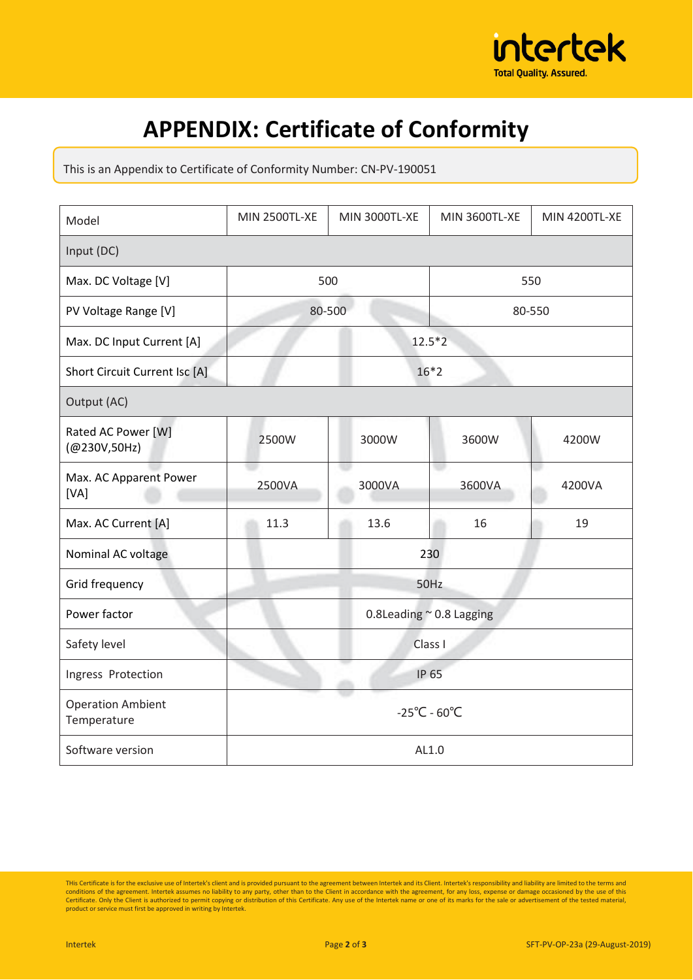

## **APPENDIX: Certificate of Conformity**

This is an Appendix to Certificate of Conformity Number: CN-PV-190051

| Model                                   | <b>MIN 2500TL-XE</b>              | <b>MIN 3000TL-XE</b> | <b>MIN 3600TL-XE</b> | <b>MIN 4200TL-XE</b> |  |  |  |
|-----------------------------------------|-----------------------------------|----------------------|----------------------|----------------------|--|--|--|
| Input (DC)                              |                                   |                      |                      |                      |  |  |  |
| Max. DC Voltage [V]                     |                                   | 500                  |                      | 550                  |  |  |  |
| PV Voltage Range [V]                    |                                   | 80-500               |                      | 80-550               |  |  |  |
| Max. DC Input Current [A]               |                                   | $12.5*2$             |                      |                      |  |  |  |
| Short Circuit Current Isc [A]           | $16*2$                            |                      |                      |                      |  |  |  |
| Output (AC)                             |                                   |                      |                      |                      |  |  |  |
| Rated AC Power [W]<br>(@230V,50Hz)      | 2500W                             | 3000W                | 3600W                | 4200W                |  |  |  |
| Max. AC Apparent Power<br>[VA]          | 2500VA                            | 3000VA               | e e<br>3600VA        | 4200VA               |  |  |  |
| Max. AC Current [A]                     | 11.3                              | 13.6                 | 16                   | 19                   |  |  |  |
| Nominal AC voltage                      |                                   | 230                  |                      |                      |  |  |  |
| Grid frequency                          | 50Hz                              |                      |                      |                      |  |  |  |
| Power factor                            | 0.8Leading $\approx$ 0.8 Lagging  |                      |                      |                      |  |  |  |
| Safety level                            | Class I                           |                      |                      |                      |  |  |  |
| Ingress Protection                      | <b>IP 65</b>                      |                      |                      |                      |  |  |  |
| <b>Operation Ambient</b><br>Temperature | $-25^{\circ}$ C - 60 $^{\circ}$ C |                      |                      |                      |  |  |  |
| Software version                        | AL1.0                             |                      |                      |                      |  |  |  |

This Certificate is for the exclusive use of Intertek's client and is provided pursuant to the agreement between Intertek and its Client. Intertek's responsibility and liability are limited to the terms and conditions of t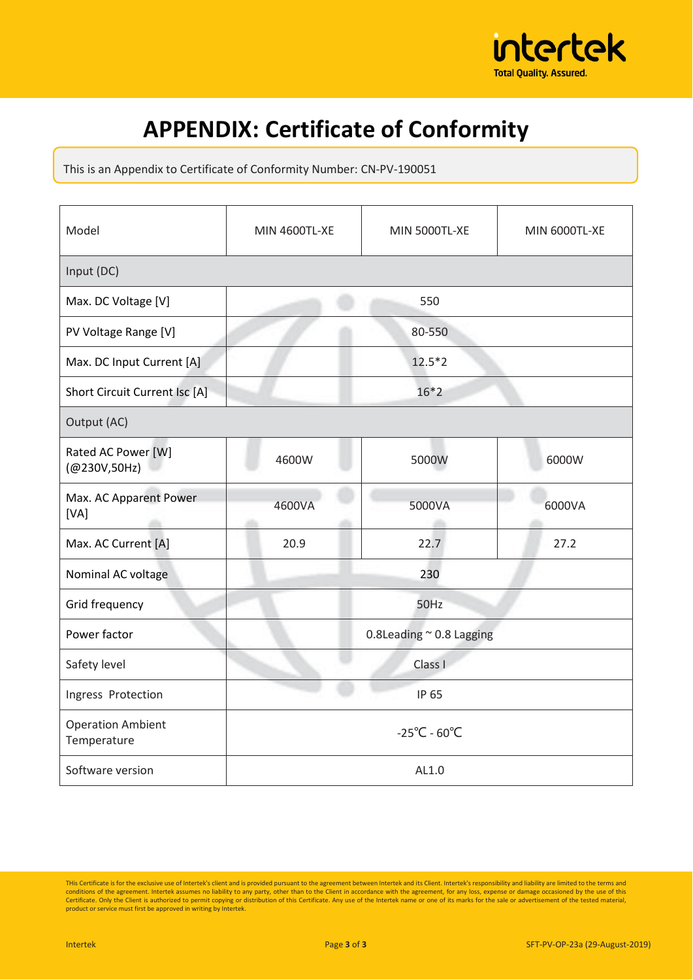

## **APPENDIX: Certificate of Conformity**

This is an Appendix to Certificate of Conformity Number: CN-PV-190051

| Model                                   | <b>MIN 4600TL-XE</b>              | MIN 5000TL-XE | MIN 6000TL-XE |  |  |  |
|-----------------------------------------|-----------------------------------|---------------|---------------|--|--|--|
| Input (DC)                              |                                   |               |               |  |  |  |
| Max. DC Voltage [V]                     | 550                               |               |               |  |  |  |
| PV Voltage Range [V]                    | 80-550                            |               |               |  |  |  |
| Max. DC Input Current [A]               | $12.5*2$                          |               |               |  |  |  |
| Short Circuit Current Isc [A]           | $16*2$                            |               |               |  |  |  |
| Output (AC)                             |                                   |               |               |  |  |  |
| Rated AC Power [W]<br>(@230V,50Hz)      | 4600W                             | 5000W         | 6000W         |  |  |  |
| Max. AC Apparent Power<br>[VA]          | 4600VA                            | 5000VA        | 6000VA        |  |  |  |
| Max. AC Current [A]                     | 20.9                              | 22.7          | 27.2          |  |  |  |
| Nominal AC voltage                      | 230                               |               |               |  |  |  |
| Grid frequency                          | 50Hz                              |               |               |  |  |  |
| Power factor                            | 0.8Leading $\approx$ 0.8 Lagging  |               |               |  |  |  |
| Safety level                            | Class I                           |               |               |  |  |  |
| Ingress Protection                      | IP 65                             |               |               |  |  |  |
| <b>Operation Ambient</b><br>Temperature | $-25^{\circ}$ C - 60 $^{\circ}$ C |               |               |  |  |  |
| Software version                        | AL1.0                             |               |               |  |  |  |

This Certificate is for the exclusive use of Intertek's client and is provided pursuant to the agreement between Intertek and its Client. Intertek's responsibility and liability are limited to the terms and conditions of t